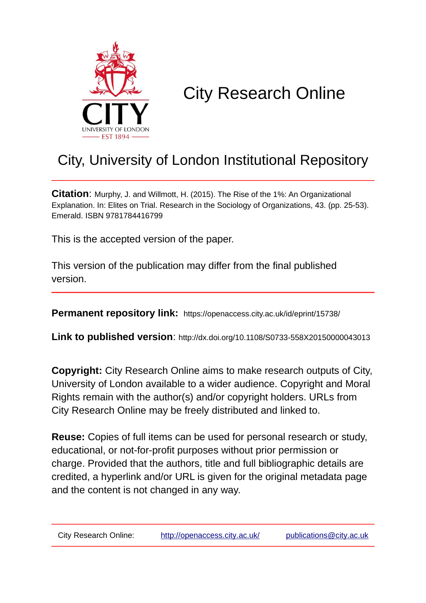

# City Research Online

## City, University of London Institutional Repository

**Citation**: Murphy, J. and Willmott, H. (2015). The Rise of the 1%: An Organizational Explanation. In: Elites on Trial. Research in the Sociology of Organizations, 43. (pp. 25-53). Emerald. ISBN 9781784416799

This is the accepted version of the paper.

This version of the publication may differ from the final published version.

**Permanent repository link:** https://openaccess.city.ac.uk/id/eprint/15738/

**Link to published version**: http://dx.doi.org/10.1108/S0733-558X20150000043013

**Copyright:** City Research Online aims to make research outputs of City, University of London available to a wider audience. Copyright and Moral Rights remain with the author(s) and/or copyright holders. URLs from City Research Online may be freely distributed and linked to.

**Reuse:** Copies of full items can be used for personal research or study, educational, or not-for-profit purposes without prior permission or charge. Provided that the authors, title and full bibliographic details are credited, a hyperlink and/or URL is given for the original metadata page and the content is not changed in any way.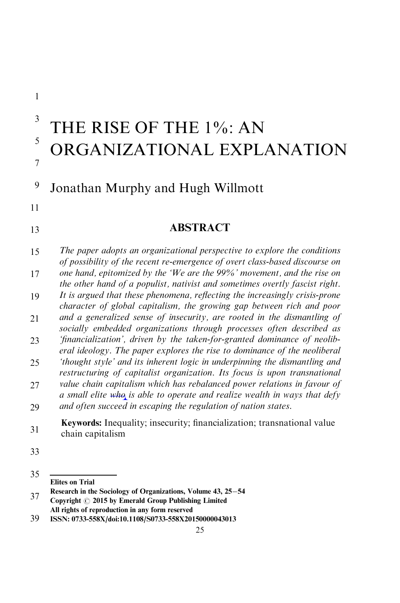| $\mathfrak{Z}$ | THE RISE OF THE 1%: AN                                                                                                                                  |
|----------------|---------------------------------------------------------------------------------------------------------------------------------------------------------|
| 5              | ORGANIZATIONAL EXPLANATION                                                                                                                              |
| $\overline{7}$ |                                                                                                                                                         |
| 9              | Jonathan Murphy and Hugh Willmott                                                                                                                       |
| 11             |                                                                                                                                                         |
| 13             | <b>ABSTRACT</b>                                                                                                                                         |
| 15             | The paper adopts an organizational perspective to explore the conditions<br>of possibility of the recent re-emergence of overt class-based discourse on |
| 17             | one hand, epitomized by the 'We are the 99%' movement, and the rise on<br>the other hand of a populist, nativist and sometimes overtly fascist right.   |
| 19             | It is argued that these phenomena, reflecting the increasingly crisis-prone<br>character of global capitalism, the growing gap between rich and poor    |
| 21             | and a generalized sense of insecurity, are rooted in the dismantling of<br>socially embedded organizations through processes often described as         |
| 23             | 'financialization', driven by the taken-for-granted dominance of neolib-<br>eral ideology. The paper explores the rise to dominance of the neoliberal   |
| 25             | 'thought style' and its inherent logic in underpinning the dismantling and<br>restructuring of capitalist organization. Its focus is upon transnational |
| 27             | value chain capitalism which has rebalanced power relations in favour of<br>a small elite who is able to operate and realize wealth in ways that defy   |
| 29             | and often succeed in escaping the regulation of nation states.                                                                                          |
| 31             | Keywords: Inequality; insecurity; financialization; transnational value<br>chain capitalism                                                             |
| 33             |                                                                                                                                                         |
| 35             |                                                                                                                                                         |
| $\sim$         | <b>Elites on Trial</b><br>Research in the Sociology of Organizations, Volume 43, 25–54                                                                  |

Research in the Sociology of Organizations, Volume 43, 25–54<br>Copyright © 2015 by Emerald Group Publishing Limited All rights of reproduction in any form reserved 37

ISSN: 0733-558X/doi:10.1108/S0733-558X20150000043013 39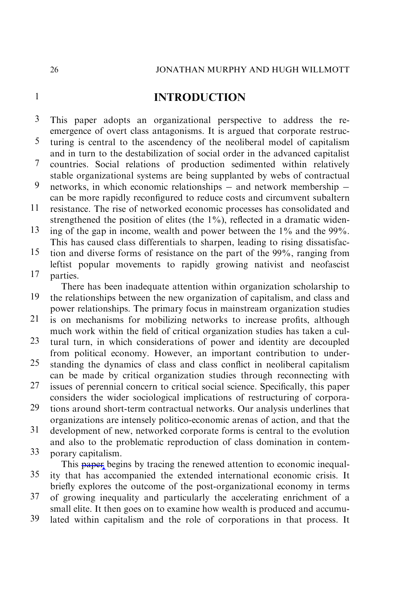#### INTRODUCTION

This paper adopts an organizational perspective to address the reemergence of overt class antagonisms. It is argued that corporate restructuring is central to the ascendency of the neoliberal model of capitalism and in turn to the destabilization of social order in the advanced capitalist 3 5

- countries. Social relations of production sedimented within relatively stable organizational systems are being supplanted by webs of contractual 7
- networks, in which economic relationships  $-$  and network membership  $$ can be more rapidly reconfigured to reduce costs and circumvent subaltern 9

resistance. The rise of networked economic processes has consolidated and strengthened the position of elites (the 1%), reflected in a dramatic widen-11

- ing of the gap in income, wealth and power between the 1% and the 99%. This has caused class differentials to sharpen, leading to rising dissatisfac-13
- tion and diverse forms of resistance on the part of the 99%, ranging from leftist popular movements to rapidly growing nativist and neofascist parties. 15 17

There has been inadequate attention within organization scholarship to the relationships between the new organization of capitalism, and class and

- power relationships. The primary focus in mainstream organization studies 19 21
- is on mechanisms for mobilizing networks to increase profits, although much work within the field of critical organization studies has taken a cul-
- tural turn, in which considerations of power and identity are decoupled from political economy. However, an important contribution to under-23
- standing the dynamics of class and class conflict in neoliberal capitalism can be made by critical organization studies through reconnecting with 25
- issues of perennial concern to critical social science. Specifically, this paper considers the wider sociological implications of restructuring of corpora-27
- tions around short-term contractual networks. Our analysis underlines that organizations are intensely politico-economic arenas of action, and that the 29
- development of new, networked corporate forms is central to the evolution and also to the problematic reproduction of class domination in contem-31
- porary capitalism. 33

This paper begins by tracing the renewed attention to economic inequality that has accompanied the extended international economic crisis. It briefly explores the outcome of the post-organizational economy in terms 35

- of growing inequality and particularly the accelerating enrichment of a small elite. It then goes on to examine how wealth is produced and accumu-37
- lated within capitalism and the role of corporations in that process. It 39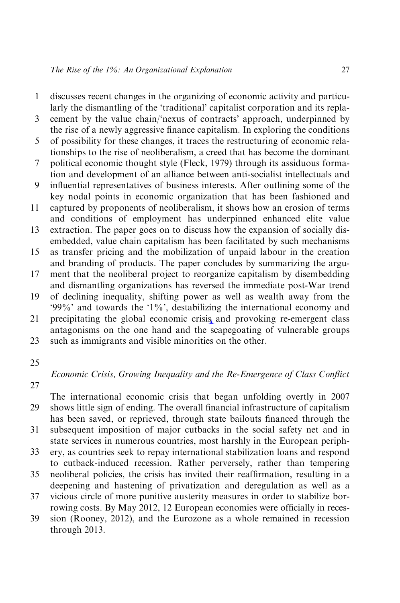- discusses recent changes in the organizing of economic activity and particularly the dismantling of the 'traditional' capitalist corporation and its repla-1
- cement by the value chain/'nexus of contracts' approach, underpinned by the rise of a newly aggressive finance capitalism. In exploring the conditions 3
- of possibility for these changes, it traces the restructuring of economic relationships to the rise of neoliberalism, a creed that has become the dominant 5
- political economic thought style (Fleck, 1979) through its assiduous formation and development of an alliance between anti-socialist intellectuals and 7
- influential representatives of business interests. After outlining some of the key nodal points in economic organization that has been fashioned and 9
- captured by proponents of neoliberalism, it shows how an erosion of terms and conditions of employment has underpinned enhanced elite value 11
- extraction. The paper goes on to discuss how the expansion of socially disembedded, value chain capitalism has been facilitated by such mechanisms 13
- as transfer pricing and the mobilization of unpaid labour in the creation and branding of products. The paper concludes by summarizing the argu-15
- ment that the neoliberal project to reorganize capitalism by disembedding and dismantling organizations has reversed the immediate post-War trend 17
- of declining inequality, shifting power as well as wealth away from the '99%' and towards the '1%', destabilizing the international economy and 19
- precipitating the global economic crisis and provoking re-emergent class antagonisms on the one hand and the scapegoating of vulnerable groups 21
- such as immigrants and visible minorities on the other. 23
- 25

Economic Crisis, Growing Inequality and the Re-Emergence of Class Conflict 27

The international economic crisis that began unfolding overtly in 2007 shows little sign of ending. The overall financial infrastructure of capitalism has been saved, or reprieved, through state bailouts financed through the 29

- subsequent imposition of major cutbacks in the social safety net and in state services in numerous countries, most harshly in the European periph-31
- ery, as countries seek to repay international stabilization loans and respond to cutback-induced recession. Rather perversely, rather than tempering 33
- neoliberal policies, the crisis has invited their reaffirmation, resulting in a deepening and hastening of privatization and deregulation as well as a 35
- vicious circle of more punitive austerity measures in order to stabilize borrowing costs. By May 2012, 12 European economies were officially in reces-37
- sion (Rooney, 2012), and the Eurozone as a whole remained in recession through 2013. 39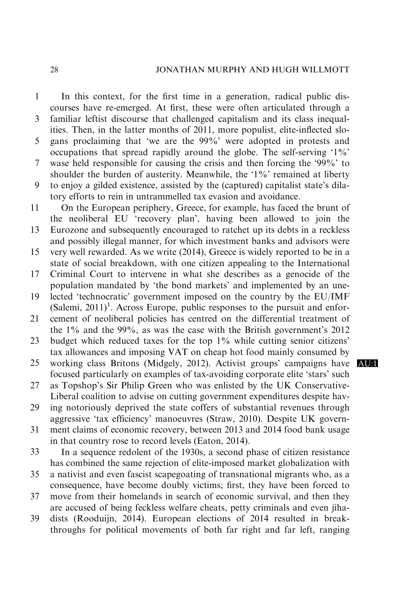In this context, for the first time in a generation, radical public discourses have re-emerged. At first, these were often articulated through a familiar leftist discourse that challenged capitalism and its class inequalities. Then, in the latter months of 2011, more populist, elite-inflected slogans proclaiming that 'we are the 99%' were adopted in protests and occupations that spread rapidly around the globe. The self-serving '1%' wase held responsible for causing the crisis and then forcing the '99%' to 1 3 5 7

shoulder the burden of austerity. Meanwhile, the '1%' remained at liberty to enjoy a gilded existence, assisted by the (captured) capitalist state's dila-9

tory efforts to rein in untrammelled tax evasion and avoidance.

On the European periphery, Greece, for example, has faced the brunt of the neoliberal EU 'recovery plan', having been allowed to join the 11

Eurozone and subsequently encouraged to ratchet up its debts in a reckless and possibly illegal manner, for which investment banks and advisors were 13

very well rewarded. As we write (2014), Greece is widely reported to be in a state of social breakdown, with one citizen appealing to the International 15

Criminal Court to intervene in what she describes as a genocide of the population mandated by 'the bond markets' and implemented by an une-17

lected 'technocratic' government imposed on the country by the EU/IMF  $(Salemi, 2011)<sup>1</sup>$ . Across Europe, public responses to the pursuit and enfor-19

cement of neoliberal policies has centred on the differential treatment of the 1% and the 99%, as was the case with the British government's 2012 21

budget which reduced taxes for the top 1% while cutting senior citizens' tax allowances and imposing VAT on cheap hot food mainly consumed by 23

working class Britons (Midgely, 2012). Activist groups' campaigns have  $\triangle$ focused particularly on examples of tax-avoiding corporate elite 'stars' such 25

as Topshop's Sir Philip Green who was enlisted by the UK Conservative-Liberal coalition to advise on cutting government expenditures despite hav-27

ing notoriously deprived the state coffers of substantial revenues through aggressive 'tax efficiency' manoeuvres (Straw, 2010). Despite UK govern-29

ment claims of economic recovery, between 2013 and 2014 food bank usage in that country rose to record levels (Eaton, 2014). 31

In a sequence redolent of the 1930s, a second phase of citizen resistance has combined the same rejection of elite-imposed market globalization with 33

a nativist and even fascist scapegoating of transnational migrants who, as a consequence, have become doubly victims; first, they have been forced to 35

move from their homelands in search of economic survival, and then they are accused of being feckless welfare cheats, petty criminals and even jiha-37

dists (Rooduijn, 2014). European elections of 2014 resulted in breakthroughs for political movements of both far right and far left, ranging 39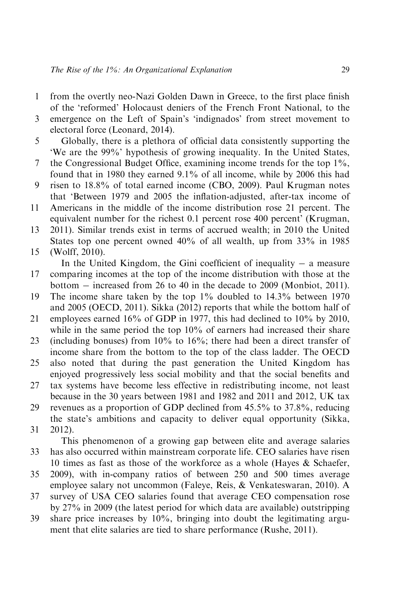- from the overtly neo-Nazi Golden Dawn in Greece, to the first place finish of the 'reformed' Holocaust deniers of the French Front National, to the 1
- emergence on the Left of Spain's 'indignados' from street movement to electoral force (Leonard, 2014). 3
- Globally, there is a plethora of official data consistently supporting the 'We are the 99%' hypothesis of growing inequality. In the United States, 5
- the Congressional Budget Office, examining income trends for the top 1%, found that in 1980 they earned 9.1% of all income, while by 2006 this had 7
- risen to 18.8% of total earned income (CBO, 2009). Paul Krugman notes that 'Between 1979 and 2005 the inflation-adjusted, after-tax income of 9
- Americans in the middle of the income distribution rose 21 percent. The equivalent number for the richest 0.1 percent rose 400 percent' (Krugman, 11
- 2011). Similar trends exist in terms of accrued wealth; in 2010 the United States top one percent owned 40% of all wealth, up from 33% in 1985 13

(Wolff, 2010). 15

17

In the United Kingdom, the Gini coefficient of inequality  $-$  a measure comparing incomes at the top of the income distribution with those at the

- bottom  $-$  increased from 26 to 40 in the decade to 2009 (Monbiot, 2011). The income share taken by the top 1% doubled to 14.3% between 1970 19
- and 2005 (OECD, 2011). Sikka (2012) reports that while the bottom half of employees earned 16% of GDP in 1977, this had declined to 10% by 2010, while in the same period the top 10% of earners had increased their share 21
- (including bonuses) from 10% to 16%; there had been a direct transfer of income share from the bottom to the top of the class ladder. The OECD 23
- also noted that during the past generation the United Kingdom has enjoyed progressively less social mobility and that the social benefits and 25
- tax systems have become less effective in redistributing income, not least because in the 30 years between 1981 and 1982 and 2011 and 2012, UK tax 27
- revenues as a proportion of GDP declined from 45.5% to 37.8%, reducing the state's ambitions and capacity to deliver equal opportunity (Sikka, 29
- 2012). 31
- This phenomenon of a growing gap between elite and average salaries has also occurred within mainstream corporate life. CEO salaries have risen 10 times as fast as those of the workforce as a whole (Hayes & Schaefer, 33
- 2009), with in-company ratios of between 250 and 500 times average employee salary not uncommon (Faleye, Reis, & Venkateswaran, 2010). A 35
- survey of USA CEO salaries found that average CEO compensation rose by 27% in 2009 (the latest period for which data are available) outstripping 37
- share price increases by 10%, bringing into doubt the legitimating argument that elite salaries are tied to share performance (Rushe, 2011). 39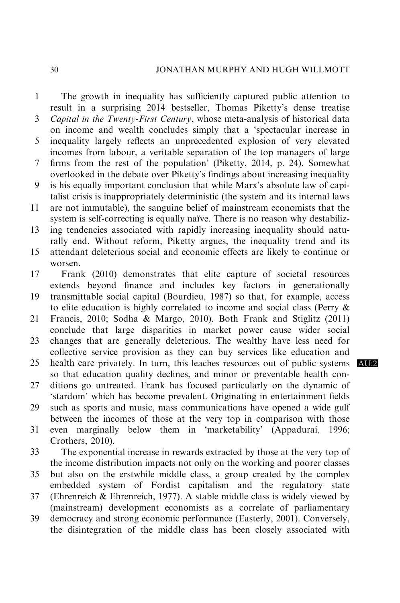- The growth in inequality has sufficiently captured public attention to result in a surprising 2014 bestseller, Thomas Piketty's dense treatise 1
- Capital in the Twenty-First Century, whose meta-analysis of historical data on income and wealth concludes simply that a 'spectacular increase in 3
- inequality largely reflects an unprecedented explosion of very elevated incomes from labour, a veritable separation of the top managers of large 5
- firms from the rest of the population' (Piketty, 2014, p. 24). Somewhat overlooked in the debate over Piketty's findings about increasing inequality 7
- is his equally important conclusion that while Marx's absolute law of capitalist crisis is inappropriately deterministic (the system and its internal laws 9
- are not immutable), the sanguine belief of mainstream economists that the system is self-correcting is equally naïve. There is no reason why destabiliz-11
- ing tendencies associated with rapidly increasing inequality should naturally end. Without reform, Piketty argues, the inequality trend and its 13
- attendant deleterious social and economic effects are likely to continue or worsen. 15
- Frank (2010) demonstrates that elite capture of societal resources extends beyond finance and includes key factors in generationally 17
- transmittable social capital (Bourdieu, 1987) so that, for example, access to elite education is highly correlated to income and social class (Perry & 19
- Francis, 2010; Sodha & Margo, 2010). Both Frank and Stiglitz (2011) conclude that large disparities in market power cause wider social 21
- changes that are generally deleterious. The wealthy have less need for collective service provision as they can buy services like education and 23
- health care privately. In turn, this leaches resources out of public systems **AU:2** so that education quality declines, and minor or preventable health con-25
- ditions go untreated. Frank has focused particularly on the dynamic of 'stardom' which has become prevalent. Originating in entertainment fields 27
- such as sports and music, mass communications have opened a wide gulf between the incomes of those at the very top in comparison with those 29
- even marginally below them in 'marketability' (Appadurai, 1996; Crothers, 2010). 31
- The exponential increase in rewards extracted by those at the very top of the income distribution impacts not only on the working and poorer classes 33
- but also on the erstwhile middle class, a group created by the complex embedded system of Fordist capitalism and the regulatory state 35
- (Ehrenreich & Ehrenreich, 1977). A stable middle class is widely viewed by (mainstream) development economists as a correlate of parliamentary 37
- democracy and strong economic performance (Easterly, 2001). Conversely, the disintegration of the middle class has been closely associated with 39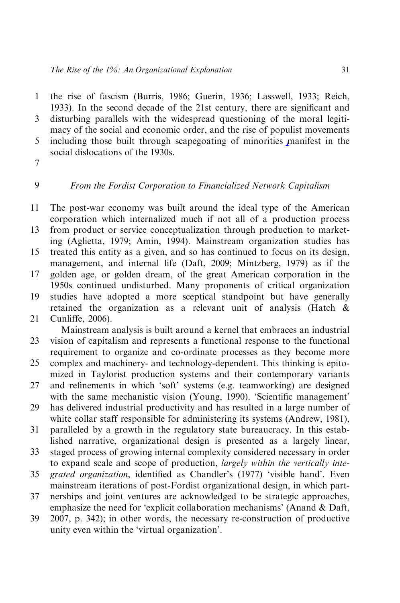the rise of fascism (Burris, 1986; Guerin, 1936; Lasswell, 1933; Reich, 1933). In the second decade of the 21st century, there are significant and 1

disturbing parallels with the widespread questioning of the moral legitimacy of the social and economic order, and the rise of populist movements 3

- including those built through scapegoating of minorities manifest in the social dislocations of the 1930s. 5
- 7

9

#### From the Fordist Corporation to Financialized Network Capitalism

- The post-war economy was built around the ideal type of the American corporation which internalized much if not all of a production process 11
- from product or service conceptualization through production to marketing (Aglietta, 1979; Amin, 1994). Mainstream organization studies has 13
- treated this entity as a given, and so has continued to focus on its design, management, and internal life (Daft, 2009; Mintzberg, 1979) as if the 15
- golden age, or golden dream, of the great American corporation in the 1950s continued undisturbed. Many proponents of critical organization 17
- studies have adopted a more sceptical standpoint but have generally retained the organization as a relevant unit of analysis (Hatch & 19

Cunliffe, 2006). 21

Mainstream analysis is built around a kernel that embraces an industrial vision of capitalism and represents a functional response to the functional 23

- requirement to organize and co-ordinate processes as they become more complex and machinery- and technology-dependent. This thinking is epito-25
- mized in Taylorist production systems and their contemporary variants
- and refinements in which 'soft' systems (e.g. teamworking) are designed with the same mechanistic vision (Young, 1990). 'Scientific management' 27
- has delivered industrial productivity and has resulted in a large number of white collar staff responsible for administering its systems (Andrew, 1981), 29
- paralleled by a growth in the regulatory state bureaucracy. In this established narrative, organizational design is presented as a largely linear, 31
- staged process of growing internal complexity considered necessary in order to expand scale and scope of production, largely within the vertically inte-33
- grated organization, identified as Chandler's (1977) 'visible hand'. Even mainstream iterations of post-Fordist organizational design, in which part-35
- nerships and joint ventures are acknowledged to be strategic approaches, emphasize the need for 'explicit collaboration mechanisms' (Anand & Daft, 37
- 2007, p. 342); in other words, the necessary re-construction of productive unity even within the 'virtual organization'. 39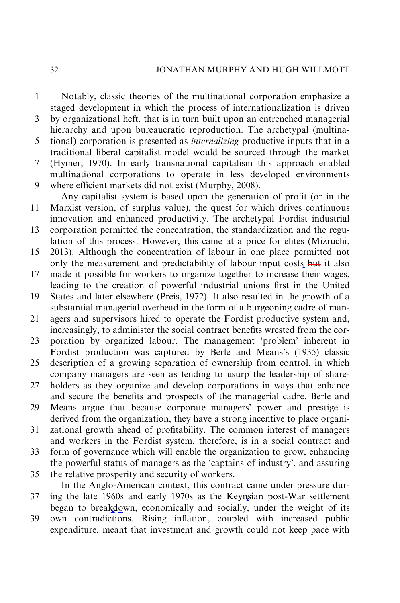- Notably, classic theories of the multinational corporation emphasize a staged development in which the process of internationalization is driven 1
- by organizational heft, that is in turn built upon an entrenched managerial hierarchy and upon bureaucratic reproduction. The archetypal (multina-3
- tional) corporation is presented as internalizing productive inputs that in a traditional liberal capitalist model would be sourced through the market 5
- (Hymer, 1970). In early transnational capitalism this approach enabled multinational corporations to operate in less developed environments 7

where efficient markets did not exist (Murphy, 2008). Any capitalist system is based upon the generation of profit (or in the 9

- Marxist version, of surplus value), the quest for which drives continuous innovation and enhanced productivity. The archetypal Fordist industrial 11
- corporation permitted the concentration, the standardization and the regulation of this process. However, this came at a price for elites (Mizruchi, 13
- 2013). Although the concentration of labour in one place permitted not only the measurement and predictability of labour input costs but it also 15
- made it possible for workers to organize together to increase their wages, leading to the creation of powerful industrial unions first in the United 17
- States and later elsewhere (Preis, 1972). It also resulted in the growth of a substantial managerial overhead in the form of a burgeoning cadre of man-19
- agers and supervisors hired to operate the Fordist productive system and, increasingly, to administer the social contract benefits wrested from the cor-21
- poration by organized labour. The management 'problem' inherent in Fordist production was captured by Berle and Means's (1935) classic 23
- description of a growing separation of ownership from control, in which company managers are seen as tending to usurp the leadership of share-25
- holders as they organize and develop corporations in ways that enhance and secure the benefits and prospects of the managerial cadre. Berle and 27
- Means argue that because corporate managers' power and prestige is derived from the organization, they have a strong incentive to place organi-29
- zational growth ahead of profitability. The common interest of managers and workers in the Fordist system, therefore, is in a social contract and 31
- form of governance which will enable the organization to grow, enhancing the powerful status of managers as the 'captains of industry', and assuring 33
- the relative prosperity and security of workers. 35

In the Anglo-American context, this contract came under pressure dur-

- ing the late 1960s and early 1970s as the Keynsian post-War settlement began to breakdown, economically and socially, under the weight of its 37
- own contradictions. Rising inflation, coupled with increased public expenditure, meant that investment and growth could not keep pace with 39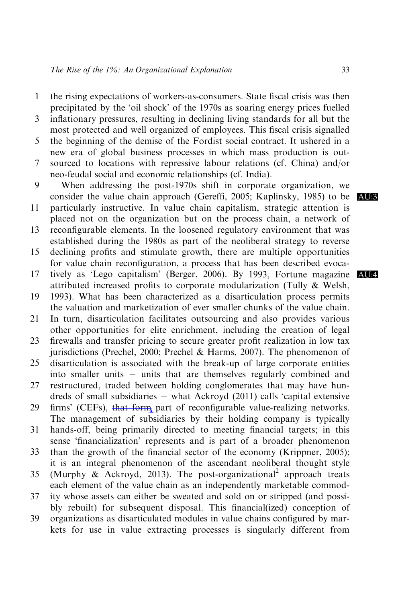- the rising expectations of workers-as-consumers. State fiscal crisis was then precipitated by the 'oil shock' of the 1970s as soaring energy prices fuelled 1
- inflationary pressures, resulting in declining living standards for all but the most protected and well organized of employees. This fiscal crisis signalled 3
- the beginning of the demise of the Fordist social contract. It ushered in a new era of global business processes in which mass production is out-5
- sourced to locations with repressive labour relations (cf. China) and/or neo-feudal social and economic relationships (cf. India). 7
- When addressing the post-1970s shift in corporate organization, we consider the value chain approach (Gereffi, 2005; Kaplinsky, 1985) to be **AU3** 9
- particularly instructive. In value chain capitalism, strategic attention is placed not on the organization but on the process chain, a network of 11
- reconfigurable elements. In the loosened regulatory environment that was established during the 1980s as part of the neoliberal strategy to reverse 13
- declining profits and stimulate growth, there are multiple opportunities for value chain reconfiguration, a process that has been described evoca-15
- tively as 'Lego capitalism' (Berger, 2006). By 1993, Fortune magazine AU:4 attributed increased profits to corporate modularization (Tully & Welsh, 17
- 1993). What has been characterized as a disarticulation process permits the valuation and marketization of ever smaller chunks of the value chain. 19
- In turn, disarticulation facilitates outsourcing and also provides various other opportunities for elite enrichment, including the creation of legal 21
- firewalls and transfer pricing to secure greater profit realization in low tax jurisdictions (Prechel, 2000; Prechel & Harms, 2007). The phenomenon of 23
- disarticulation is associated with the break-up of large corporate entities into smaller units  $-$  units that are themselves regularly combined and 25
- restructured, traded between holding conglomerates that may have hundreds of small subsidiaries  $-$  what Ackroyd (2011) calls 'capital extensive 27
- firms' (CEFs), that form part of reconfigurable value-realizing networks. The management of subsidiaries by their holding company is typically 29
- hands-off, being primarily directed to meeting financial targets; in this sense 'financialization' represents and is part of a broader phenomenon 31
- than the growth of the financial sector of the economy (Krippner, 2005); it is an integral phenomenon of the ascendant neoliberal thought style 33
- (Murphy & Ackroyd, 2013). The post-organizational<sup>2</sup> approach treats each element of the value chain as an independently marketable commod-35
- ity whose assets can either be sweated and sold on or stripped (and possibly rebuilt) for subsequent disposal. This financial(ized) conception of 37
- organizations as disarticulated modules in value chains configured by markets for use in value extracting processes is singularly different from 39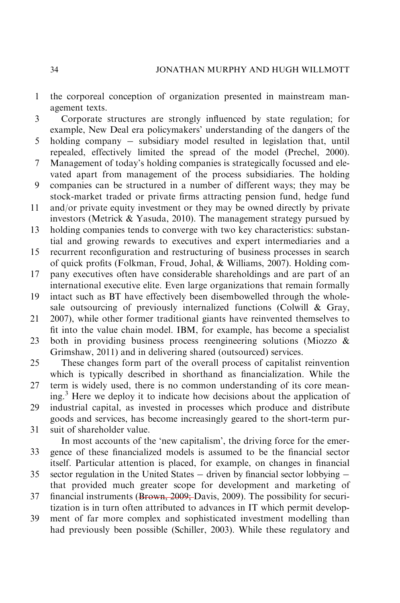- the corporeal conception of organization presented in mainstream management texts. 1
	- Corporate structures are strongly influenced by state regulation; for example, New Deal era policymakers' understanding of the dangers of the
- holding company  $-$  subsidiary model resulted in legislation that, until repealed, effectively limited the spread of the model (Prechel, 2000). 5
- Management of today's holding companies is strategically focussed and elevated apart from management of the process subsidiaries. The holding 7
- companies can be structured in a number of different ways; they may be stock-market traded or private firms attracting pension fund, hedge fund 9
- and/or private equity investment or they may be owned directly by private investors (Metrick & Yasuda, 2010). The management strategy pursued by 11
- holding companies tends to converge with two key characteristics: substantial and growing rewards to executives and expert intermediaries and a 13
- recurrent reconfiguration and restructuring of business processes in search of quick profits (Folkman, Froud, Johal, & Williams, 2007). Holding com-15
- pany executives often have considerable shareholdings and are part of an international executive elite. Even large organizations that remain formally 17
- intact such as BT have effectively been disembowelled through the wholesale outsourcing of previously internalized functions (Colwill & Gray, 19
- 2007), while other former traditional giants have reinvented themselves to fit into the value chain model. IBM, for example, has become a specialist 21
- both in providing business process reengineering solutions (Miozzo & Grimshaw, 2011) and in delivering shared (outsourced) services. 23
- These changes form part of the overall process of capitalist reinvention which is typically described in shorthand as financialization. While the 25
- term is widely used, there is no common understanding of its core meaning.<sup>3</sup> Here we deploy it to indicate how decisions about the application of 27
- industrial capital, as invested in processes which produce and distribute goods and services, has become increasingly geared to the short-term pur-29

suit of shareholder value. 31

In most accounts of the 'new capitalism', the driving force for the emergence of these financialized models is assumed to be the financial sector 33

itself. Particular attention is placed, for example, on changes in financial sector regulation in the United States  $-$  driven by financial sector lobbying  $-$ 35

- that provided much greater scope for development and marketing of
- financial instruments (Brown, 2009; Davis, 2009). The possibility for securitization is in turn often attributed to advances in IT which permit develop-37
- ment of far more complex and sophisticated investment modelling than had previously been possible (Schiller, 2003). While these regulatory and 39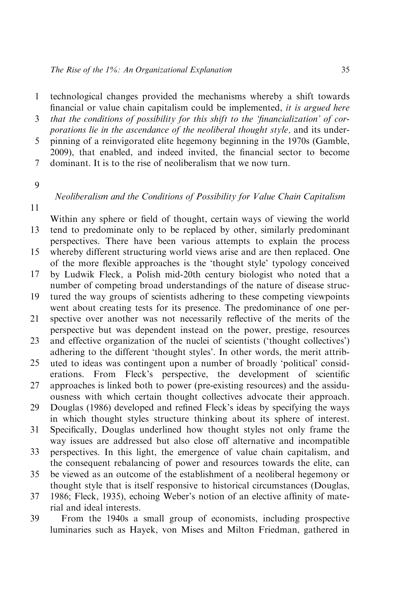- technological changes provided the mechanisms whereby a shift towards financial or value chain capitalism could be implemented, it is argued here 1
- that the conditions of possibility for this shift to the 'financialization' of corporations lie in the ascendance of the neoliberal thought style, and its under-3
- pinning of a reinvigorated elite hegemony beginning in the 1970s (Gamble, 2009), that enabled, and indeed invited, the financial sector to become 5
- dominant. It is to the rise of neoliberalism that we now turn. 7
- 9

### Neoliberalism and the Conditions of Possibility for Value Chain Capitalism

11

13

Within any sphere or field of thought, certain ways of viewing the world tend to predominate only to be replaced by other, similarly predominant

- perspectives. There have been various attempts to explain the process whereby different structuring world views arise and are then replaced. One 15
- of the more flexible approaches is the 'thought style' typology conceived
- by Ludwik Fleck, a Polish mid-20th century biologist who noted that a number of competing broad understandings of the nature of disease struc-17
- tured the way groups of scientists adhering to these competing viewpoints went about creating tests for its presence. The predominance of one per-19
- spective over another was not necessarily reflective of the merits of the perspective but was dependent instead on the power, prestige, resources 21
- and effective organization of the nuclei of scientists ('thought collectives') adhering to the different 'thought styles'. In other words, the merit attrib-23
- uted to ideas was contingent upon a number of broadly 'political' considerations. From Fleck's perspective, the development of scientific 25
- approaches is linked both to power (pre-existing resources) and the assiduousness with which certain thought collectives advocate their approach. 27
- Douglas (1986) developed and refined Fleck's ideas by specifying the ways in which thought styles structure thinking about its sphere of interest. 29
- Specifically, Douglas underlined how thought styles not only frame the way issues are addressed but also close off alternative and incompatible 31
- perspectives. In this light, the emergence of value chain capitalism, and the consequent rebalancing of power and resources towards the elite, can 33
- be viewed as an outcome of the establishment of a neoliberal hegemony or thought style that is itself responsive to historical circumstances (Douglas, 35
- 1986; Fleck, 1935), echoing Weber's notion of an elective affinity of material and ideal interests. 37
- From the 1940s a small group of economists, including prospective luminaries such as Hayek, von Mises and Milton Friedman, gathered in 39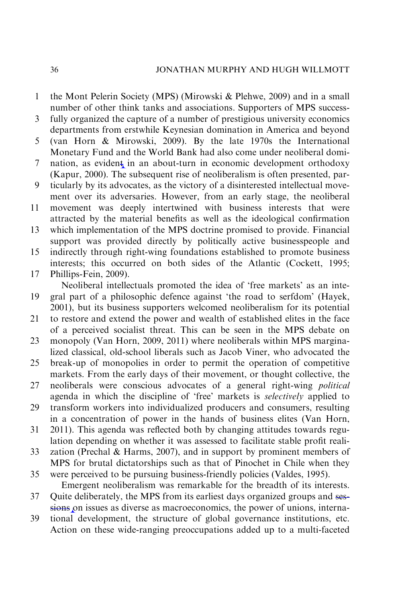- the Mont Pelerin Society (MPS) (Mirowski & Plehwe, 2009) and in a small number of other think tanks and associations. Supporters of MPS success-1
- fully organized the capture of a number of prestigious university economics departments from erstwhile Keynesian domination in America and beyond 3
- (van Horn & Mirowski, 2009). By the late 1970s the International Monetary Fund and the World Bank had also come under neoliberal domi-5
- nation, as evident in an about-turn in economic development orthodoxy (Kapur, 2000). The subsequent rise of neoliberalism is often presented, par-7
- ticularly by its advocates, as the victory of a disinterested intellectual movement over its adversaries. However, from an early stage, the neoliberal 9
- movement was deeply intertwined with business interests that were attracted by the material benefits as well as the ideological confirmation 11
- which implementation of the MPS doctrine promised to provide. Financial support was provided directly by politically active businesspeople and 13
- indirectly through right-wing foundations established to promote business interests; this occurred on both sides of the Atlantic (Cockett, 1995; 15
- Phillips-Fein, 2009). Neoliberal intellectuals promoted the idea of 'free markets' as an inte-17
- gral part of a philosophic defence against 'the road to serfdom' (Hayek, 2001), but its business supporters welcomed neoliberalism for its potential 19
- to restore and extend the power and wealth of established elites in the face of a perceived socialist threat. This can be seen in the MPS debate on 21
- monopoly (Van Horn, 2009, 2011) where neoliberals within MPS marginalized classical, old-school liberals such as Jacob Viner, who advocated the 23
- break-up of monopolies in order to permit the operation of competitive markets. From the early days of their movement, or thought collective, the 25
- neoliberals were conscious advocates of a general right-wing political agenda in which the discipline of 'free' markets is selectively applied to 27
- transform workers into individualized producers and consumers, resulting in a concentration of power in the hands of business elites (Van Horn, 29
- 2011). This agenda was reflected both by changing attitudes towards regulation depending on whether it was assessed to facilitate stable profit reali-31
- zation (Prechal & Harms, 2007), and in support by prominent members of MPS for brutal dictatorships such as that of Pinochet in Chile when they 33
- were perceived to be pursuing business-friendly policies (Valdes, 1995). Emergent neoliberalism was remarkable for the breadth of its interests. 35
- Quite deliberately, the MPS from its earliest days organized groups and sessions on issues as diverse as macroeconomics, the power of unions, interna-37
- tional development, the structure of global governance institutions, etc. Action on these wide-ranging preoccupations added up to a multi-faceted 39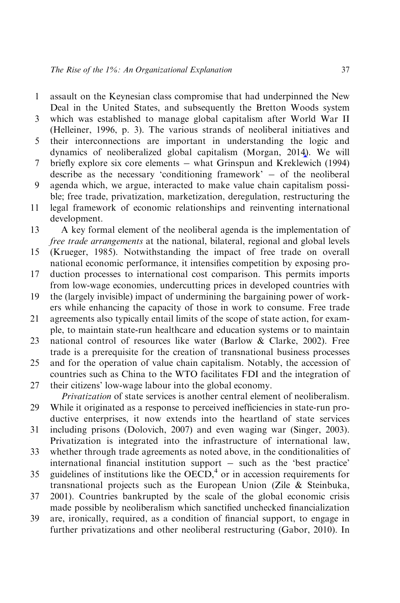- assault on the Keynesian class compromise that had underpinned the New Deal in the United States, and subsequently the Bretton Woods system 1
- which was established to manage global capitalism after World War II (Helleiner, 1996, p. 3). The various strands of neoliberal initiatives and 3
- their interconnections are important in understanding the logic and dynamics of neoliberalized global capitalism (Morgan, 2014). We will 5
- briefly explore six core elements  $-$  what Grinspun and Kreklewich (1994) describe as the necessary 'conditioning framework'  $-$  of the neoliberal 7
- agenda which, we argue, interacted to make value chain capitalism possible; free trade, privatization, marketization, deregulation, restructuring the 9
- legal framework of economic relationships and reinventing international development. 11
- A key formal element of the neoliberal agenda is the implementation of free trade arrangements at the national, bilateral, regional and global levels 13
- (Krueger, 1985). Notwithstanding the impact of free trade on overall national economic performance, it intensifies competition by exposing pro-15
- duction processes to international cost comparison. This permits imports from low-wage economies, undercutting prices in developed countries with 17
- the (largely invisible) impact of undermining the bargaining power of workers while enhancing the capacity of those in work to consume. Free trade 19
- agreements also typically entail limits of the scope of state action, for example, to maintain state-run healthcare and education systems or to maintain 21
- national control of resources like water (Barlow & Clarke, 2002). Free trade is a prerequisite for the creation of transnational business processes 23
- and for the operation of value chain capitalism. Notably, the accession of countries such as China to the WTO facilitates FDI and the integration of 25
- their citizens' low-wage labour into the global economy. Privatization of state services is another central element of neoliberalism. 27
- While it originated as a response to perceived inefficiencies in state-run productive enterprises, it now extends into the heartland of state services 29
- including prisons (Dolovich, 2007) and even waging war (Singer, 2003). Privatization is integrated into the infrastructure of international law, 31
- whether through trade agreements as noted above, in the conditionalities of international financial institution support  $-$  such as the 'best practice' 33
- guidelines of institutions like the  $OECD<sup>4</sup>$  or in accession requirements for transnational projects such as the European Union (Zile & Steinbuka, 35
- 2001). Countries bankrupted by the scale of the global economic crisis made possible by neoliberalism which sanctified unchecked financialization 37
- are, ironically, required, as a condition of financial support, to engage in further privatizations and other neoliberal restructuring (Gabor, 2010). In 39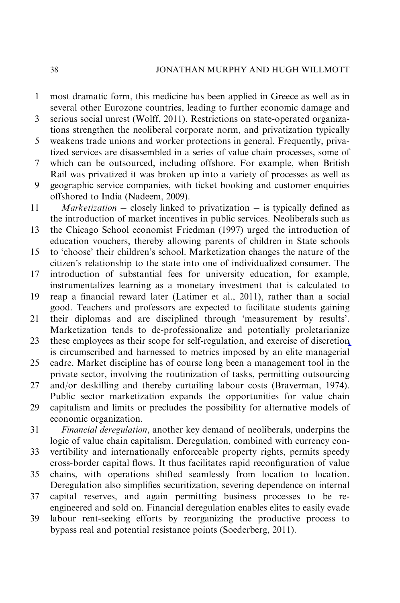- most dramatic form, this medicine has been applied in Greece as well as in several other Eurozone countries, leading to further economic damage and 1
- serious social unrest (Wolff, 2011). Restrictions on state-operated organizations strengthen the neoliberal corporate norm, and privatization typically 3
- weakens trade unions and worker protections in general. Frequently, privatized services are disassembled in a series of value chain processes, some of 5
- which can be outsourced, including offshore. For example, when British Rail was privatized it was broken up into a variety of processes as well as 7
- geographic service companies, with ticket booking and customer enquiries offshored to India (Nadeem, 2009). 9
- $Marketization$  closely linked to privatization is typically defined as the introduction of market incentives in public services. Neoliberals such as 11
- the Chicago School economist Friedman (1997) urged the introduction of education vouchers, thereby allowing parents of children in State schools 13
- to 'choose' their children's school. Marketization changes the nature of the citizen's relationship to the state into one of individualized consumer. The 15
- introduction of substantial fees for university education, for example, instrumentalizes learning as a monetary investment that is calculated to 17
- reap a financial reward later (Latimer et al., 2011), rather than a social good. Teachers and professors are expected to facilitate students gaining 19
- their diplomas and are disciplined through 'measurement by results'. Marketization tends to de-professionalize and potentially proletarianize 21
- these employees as their scope for self-regulation, and exercise of discretion is circumscribed and harnessed to metrics imposed by an elite managerial 23
- cadre. Market discipline has of course long been a management tool in the private sector, involving the routinization of tasks, permitting outsourcing 25
- and/or deskilling and thereby curtailing labour costs (Braverman, 1974). Public sector marketization expands the opportunities for value chain 27
- capitalism and limits or precludes the possibility for alternative models of economic organization. 29
- Financial deregulation, another key demand of neoliberals, underpins the logic of value chain capitalism. Deregulation, combined with currency con-31
- vertibility and internationally enforceable property rights, permits speedy cross-border capital flows. It thus facilitates rapid reconfiguration of value 33
- chains, with operations shifted seamlessly from location to location. Deregulation also simplifies securitization, severing dependence on internal 35
- capital reserves, and again permitting business processes to be reengineered and sold on. Financial deregulation enables elites to easily evade 37
- labour rent-seeking efforts by reorganizing the productive process to bypass real and potential resistance points (Soederberg, 2011). 39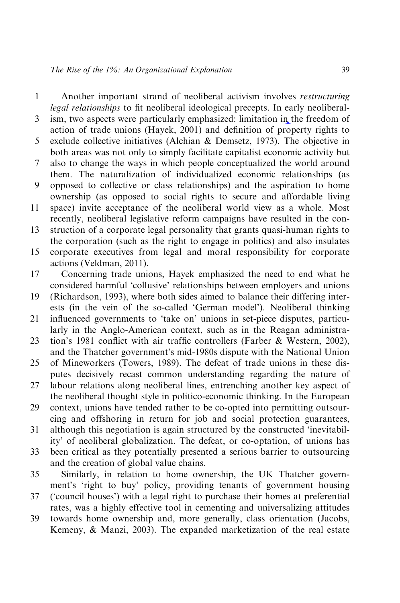- Another important strand of neoliberal activism involves restructuring legal relationships to fit neoliberal ideological precepts. In early neoliberal-1
- ism, two aspects were particularly emphasized: limitation in the freedom of action of trade unions (Hayek, 2001) and definition of property rights to 3
- exclude collective initiatives (Alchian & Demsetz, 1973). The objective in both areas was not only to simply facilitate capitalist economic activity but 5
- also to change the ways in which people conceptualized the world around them. The naturalization of individualized economic relationships (as 7
- opposed to collective or class relationships) and the aspiration to home ownership (as opposed to social rights to secure and affordable living 9
- space) invite acceptance of the neoliberal world view as a whole. Most recently, neoliberal legislative reform campaigns have resulted in the con-11
- struction of a corporate legal personality that grants quasi-human rights to the corporation (such as the right to engage in politics) and also insulates 13
- corporate executives from legal and moral responsibility for corporate actions (Veldman, 2011). 15
- Concerning trade unions, Hayek emphasized the need to end what he considered harmful 'collusive' relationships between employers and unions 17
- (Richardson, 1993), where both sides aimed to balance their differing interests (in the vein of the so-called 'German model'). Neoliberal thinking 19
- influenced governments to 'take on' unions in set-piece disputes, particularly in the Anglo-American context, such as in the Reagan administra-21
- tion's 1981 conflict with air traffic controllers (Farber & Western, 2002), and the Thatcher government's mid-1980s dispute with the National Union 23
- of Mineworkers (Towers, 1989). The defeat of trade unions in these disputes decisively recast common understanding regarding the nature of 25
- labour relations along neoliberal lines, entrenching another key aspect of the neoliberal thought style in politico-economic thinking. In the European 27
- context, unions have tended rather to be co-opted into permitting outsourcing and offshoring in return for job and social protection guarantees, 29
- although this negotiation is again structured by the constructed 'inevitability' of neoliberal globalization. The defeat, or co-optation, of unions has 31
- been critical as they potentially presented a serious barrier to outsourcing and the creation of global value chains. 33
- Similarly, in relation to home ownership, the UK Thatcher government's 'right to buy' policy, providing tenants of government housing 35
- ('council houses') with a legal right to purchase their homes at preferential rates, was a highly effective tool in cementing and universalizing attitudes 37
- towards home ownership and, more generally, class orientation (Jacobs, Kemeny, & Manzi, 2003). The expanded marketization of the real estate 39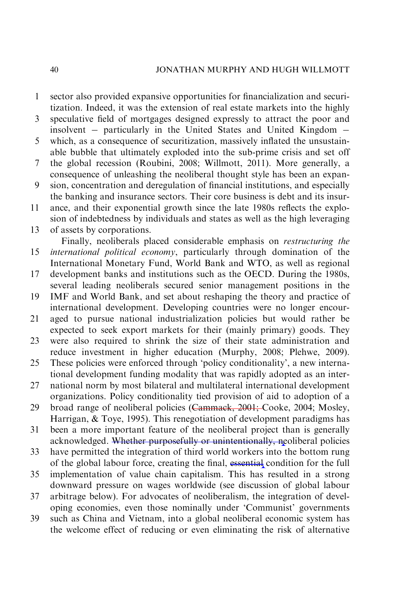- sector also provided expansive opportunities for financialization and securitization. Indeed, it was the extension of real estate markets into the highly 1
- speculative field of mortgages designed expressly to attract the poor and insolvent  $-$  particularly in the United States and United Kingdom  $-$ 3
- which, as a consequence of securitization, massively inflated the unsustainable bubble that ultimately exploded into the sub-prime crisis and set off 5
- the global recession (Roubini, 2008; Willmott, 2011). More generally, a consequence of unleashing the neoliberal thought style has been an expan-7
- sion, concentration and deregulation of financial institutions, and especially the banking and insurance sectors. Their core business is debt and its insur-9
- ance, and their exponential growth since the late 1980s reflects the explosion of indebtedness by individuals and states as well as the high leveraging 11
- of assets by corporations. Finally, neoliberals placed considerable emphasis on restructuring the 13
- international political economy, particularly through domination of the International Monetary Fund, World Bank and WTO, as well as regional 15
- development banks and institutions such as the OECD. During the 1980s, several leading neoliberals secured senior management positions in the 17
- IMF and World Bank, and set about reshaping the theory and practice of international development. Developing countries were no longer encour-19
- aged to pursue national industrialization policies but would rather be expected to seek export markets for their (mainly primary) goods. They 21
- were also required to shrink the size of their state administration and reduce investment in higher education (Murphy, 2008; Plehwe, 2009). 23
- These policies were enforced through 'policy conditionality', a new international development funding modality that was rapidly adopted as an inter-25
- national norm by most bilateral and multilateral international development organizations. Policy conditionality tied provision of aid to adoption of a 27
- broad range of neoliberal policies (Cammack, 2001; Cooke, 2004; Mosley, Harrigan, & Toye, 1995). This renegotiation of development paradigms has 29
- been a more important feature of the neoliberal project than is generally acknowledged. Whether purposefully or unintentionally, neoliberal policies 31
- have permitted the integration of third world workers into the bottom rung of the global labour force, creating the final, essential condition for the full 33
- implementation of value chain capitalism. This has resulted in a strong downward pressure on wages worldwide (see discussion of global labour 35
- arbitrage below). For advocates of neoliberalism, the integration of developing economies, even those nominally under 'Communist' governments 37
- such as China and Vietnam, into a global neoliberal economic system has the welcome effect of reducing or even eliminating the risk of alternative 39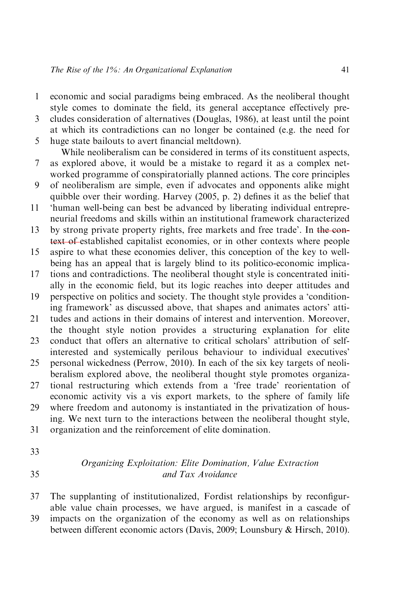- economic and social paradigms being embraced. As the neoliberal thought style comes to dominate the field, its general acceptance effectively pre-1
- cludes consideration of alternatives (Douglas, 1986), at least until the point at which its contradictions can no longer be contained (e.g. the need for 3
- huge state bailouts to avert financial meltdown). While neoliberalism can be considered in terms of its constituent aspects, 5
- as explored above, it would be a mistake to regard it as a complex networked programme of conspiratorially planned actions. The core principles 7
- of neoliberalism are simple, even if advocates and opponents alike might quibble over their wording. Harvey (2005, p. 2) defines it as the belief that 9
- 'human well-being can best be advanced by liberating individual entrepreneurial freedoms and skills within an institutional framework characterized 11
- by strong private property rights, free markets and free trade'. In the context of established capitalist economies, or in other contexts where people 13
- aspire to what these economies deliver, this conception of the key to wellbeing has an appeal that is largely blind to its politico-economic implica-15
- tions and contradictions. The neoliberal thought style is concentrated initially in the economic field, but its logic reaches into deeper attitudes and 17
- perspective on politics and society. The thought style provides a 'conditioning framework' as discussed above, that shapes and animates actors' atti-19
- tudes and actions in their domains of interest and intervention. Moreover, the thought style notion provides a structuring explanation for elite 21
- conduct that offers an alternative to critical scholars' attribution of selfinterested and systemically perilous behaviour to individual executives' 23
- personal wickedness (Perrow, 2010). In each of the six key targets of neoliberalism explored above, the neoliberal thought style promotes organiza-25
- tional restructuring which extends from a 'free trade' reorientation of economic activity vis a vis export markets, to the sphere of family life 27
- where freedom and autonomy is instantiated in the privatization of housing. We next turn to the interactions between the neoliberal thought style, 29
- organization and the reinforcement of elite domination. 31
- 33

#### Organizing Exploitation: Elite Domination, Value Extraction and Tax Avoidance

- The supplanting of institutionalized, Fordist relationships by reconfigurable value chain processes, we have argued, is manifest in a cascade of 37
- impacts on the organization of the economy as well as on relationships between different economic actors (Davis, 2009; Lounsbury & Hirsch, 2010). 39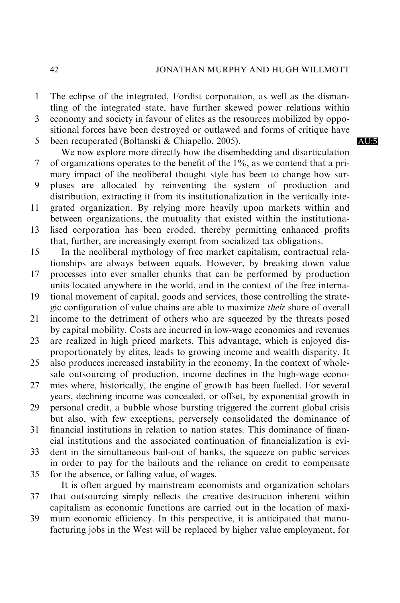The eclipse of the integrated, Fordist corporation, as well as the dismantling of the integrated state, have further skewed power relations within 1

economy and society in favour of elites as the resources mobilized by oppositional forces have been destroyed or outlawed and forms of critique have 3

been recuperated (Boltanski & Chiapello, 2005). 5

We now explore more directly how the disembedding and disarticulation of organizations operates to the benefit of the 1%, as we contend that a primary impact of the neoliberal thought style has been to change how sur-7

pluses are allocated by reinventing the system of production and distribution, extracting it from its institutionalization in the vertically inte-9

grated organization. By relying more heavily upon markets within and between organizations, the mutuality that existed within the institutiona-11

- lised corporation has been eroded, thereby permitting enhanced profits that, further, are increasingly exempt from socialized tax obligations. 13
- In the neoliberal mythology of free market capitalism, contractual relationships are always between equals. However, by breaking down value 15
- processes into ever smaller chunks that can be performed by production units located anywhere in the world, and in the context of the free interna-17
- tional movement of capital, goods and services, those controlling the strategic configuration of value chains are able to maximize their share of overall 19
- income to the detriment of others who are squeezed by the threats posed by capital mobility. Costs are incurred in low-wage economies and revenues 21
- are realized in high priced markets. This advantage, which is enjoyed disproportionately by elites, leads to growing income and wealth disparity. It 23
- also produces increased instability in the economy. In the context of wholesale outsourcing of production, income declines in the high-wage econo-25
- mies where, historically, the engine of growth has been fuelled. For several years, declining income was concealed, or offset, by exponential growth in 27
- personal credit, a bubble whose bursting triggered the current global crisis but also, with few exceptions, perversely consolidated the dominance of 29
- financial institutions in relation to nation states. This dominance of financial institutions and the associated continuation of financialization is evi-31
- dent in the simultaneous bail-out of banks, the squeeze on public services in order to pay for the bailouts and the reliance on credit to compensate 33
- for the absence, or falling value, of wages. 35

It is often argued by mainstream economists and organization scholars that outsourcing simply reflects the creative destruction inherent within 37

capitalism as economic functions are carried out in the location of maximum economic efficiency. In this perspective, it is anticipated that manufacturing jobs in the West will be replaced by higher value employment, for 39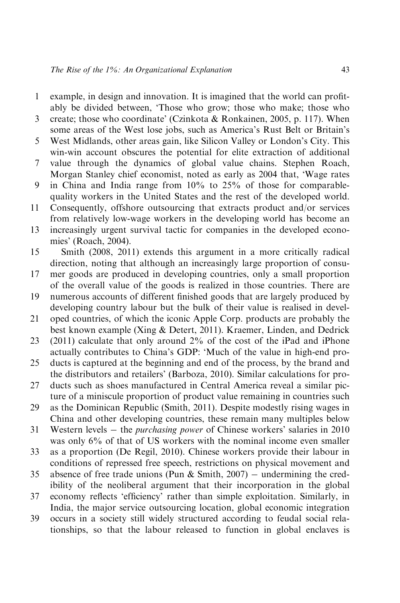- example, in design and innovation. It is imagined that the world can profitably be divided between, 'Those who grow; those who make; those who 1
- create; those who coordinate' (Czinkota & Ronkainen, 2005, p. 117). When some areas of the West lose jobs, such as America's Rust Belt or Britain's 3
- West Midlands, other areas gain, like Silicon Valley or London's City. This win-win account obscures the potential for elite extraction of additional 5
- value through the dynamics of global value chains. Stephen Roach, Morgan Stanley chief economist, noted as early as 2004 that, 'Wage rates 7
- in China and India range from 10% to 25% of those for comparablequality workers in the United States and the rest of the developed world. 9
- Consequently, offshore outsourcing that extracts product and/or services from relatively low-wage workers in the developing world has become an 11
- increasingly urgent survival tactic for companies in the developed economies' (Roach, 2004). 13
- Smith (2008, 2011) extends this argument in a more critically radical direction, noting that although an increasingly large proportion of consu-15
- mer goods are produced in developing countries, only a small proportion of the overall value of the goods is realized in those countries. There are 17
- numerous accounts of different finished goods that are largely produced by developing country labour but the bulk of their value is realised in devel-19
- oped countries, of which the iconic Apple Corp. products are probably the best known example (Xing & Detert, 2011). Kraemer, Linden, and Dedrick 21
- (2011) calculate that only around 2% of the cost of the iPad and iPhone actually contributes to China's GDP: 'Much of the value in high-end pro-23
- ducts is captured at the beginning and end of the process, by the brand and the distributors and retailers' (Barboza, 2010). Similar calculations for pro-25
- ducts such as shoes manufactured in Central America reveal a similar picture of a miniscule proportion of product value remaining in countries such 27
- as the Dominican Republic (Smith, 2011). Despite modestly rising wages in China and other developing countries, these remain many multiples below 29
- Western levels  $-$  the *purchasing power* of Chinese workers' salaries in 2010 was only 6% of that of US workers with the nominal income even smaller 31
- as a proportion (De Regil, 2010). Chinese workers provide their labour in conditions of repressed free speech, restrictions on physical movement and 33
- absence of free trade unions (Pun & Smith,  $2007$ ) undermining the credibility of the neoliberal argument that their incorporation in the global 35
- economy reflects 'efficiency' rather than simple exploitation. Similarly, in India, the major service outsourcing location, global economic integration 37
- occurs in a society still widely structured according to feudal social relationships, so that the labour released to function in global enclaves is 39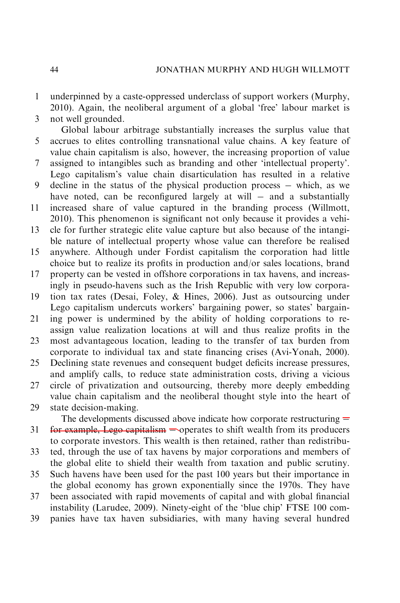- underpinned by a caste-oppressed underclass of support workers (Murphy, 2010). Again, the neoliberal argument of a global 'free' labour market is 1
- not well grounded. 3

Global labour arbitrage substantially increases the surplus value that accrues to elites controlling transnational value chains. A key feature of value chain capitalism is also, however, the increasing proportion of value 5

- assigned to intangibles such as branding and other 'intellectual property'. Lego capitalism's value chain disarticulation has resulted in a relative 7
- decline in the status of the physical production process  $-$  which, as we have noted, can be reconfigured largely at will  $-$  and a substantially 9
- increased share of value captured in the branding process (Willmott, 2010). This phenomenon is significant not only because it provides a vehi-11
- cle for further strategic elite value capture but also because of the intangible nature of intellectual property whose value can therefore be realised 13
- anywhere. Although under Fordist capitalism the corporation had little choice but to realize its profits in production and/or sales locations, brand 15
- property can be vested in offshore corporations in tax havens, and increasingly in pseudo-havens such as the Irish Republic with very low corpora-17
- tion tax rates (Desai, Foley, & Hines, 2006). Just as outsourcing under Lego capitalism undercuts workers' bargaining power, so states' bargain-19
- ing power is undermined by the ability of holding corporations to reassign value realization locations at will and thus realize profits in the 21
- most advantageous location, leading to the transfer of tax burden from corporate to individual tax and state financing crises (Avi-Yonah, 2000). 23
- Declining state revenues and consequent budget deficits increase pressures, and amplify calls, to reduce state administration costs, driving a vicious 25
- circle of privatization and outsourcing, thereby more deeply embedding value chain capitalism and the neoliberal thought style into the heart of 27
- state decision-making. 29

The developments discussed above indicate how corporate restructuring  $=$ 

- for example, Lego capitalism = operates to shift wealth from its producers to corporate investors. This wealth is then retained, rather than redistribu-31
- ted, through the use of tax havens by major corporations and members of the global elite to shield their wealth from taxation and public scrutiny. 33
- Such havens have been used for the past 100 years but their importance in the global economy has grown exponentially since the 1970s. They have 35
- been associated with rapid movements of capital and with global financial instability (Larudee, 2009). Ninety-eight of the 'blue chip' FTSE 100 com-37
- panies have tax haven subsidiaries, with many having several hundred 39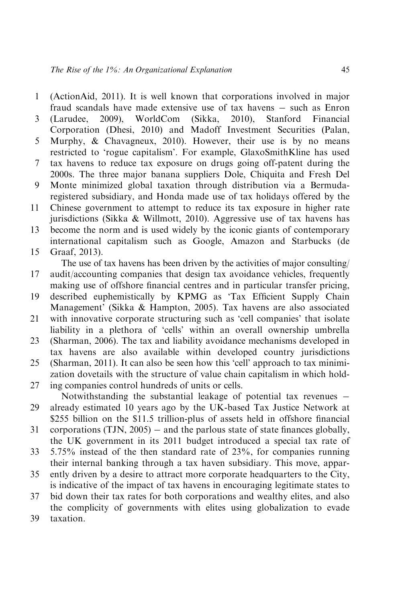- (ActionAid, 2011). It is well known that corporations involved in major fraud scandals have made extensive use of tax havens  $-$  such as Enron (Larudee, 2009), WorldCom (Sikka, 2010), Stanford Financial 1
- WorldCom (Sikka, Corporation (Dhesi, 2010) and Madoff Investment Securities (Palan, 3
- Murphy, & Chavagneux, 2010). However, their use is by no means restricted to 'rogue capitalism'. For example, GlaxoSmithKline has used 5
- tax havens to reduce tax exposure on drugs going off-patent during the 2000s. The three major banana suppliers Dole, Chiquita and Fresh Del 7
- Monte minimized global taxation through distribution via a Bermudaregistered subsidiary, and Honda made use of tax holidays offered by the 9
- Chinese government to attempt to reduce its tax exposure in higher rate jurisdictions (Sikka & Willmott, 2010). Aggressive use of tax havens has 11
- become the norm and is used widely by the iconic giants of contemporary international capitalism such as Google, Amazon and Starbucks (de 13
- Graaf, 2013). 15

The use of tax havens has been driven by the activities of major consulting/ audit/accounting companies that design tax avoidance vehicles, frequently

- making use of offshore financial centres and in particular transfer pricing, 17
- described euphemistically by KPMG as 'Tax Efficient Supply Chain Management' (Sikka & Hampton, 2005). Tax havens are also associated 19
- with innovative corporate structuring such as 'cell companies' that isolate liability in a plethora of 'cells' within an overall ownership umbrella 21
- (Sharman, 2006). The tax and liability avoidance mechanisms developed in tax havens are also available within developed country jurisdictions 23
- (Sharman, 2011). It can also be seen how this 'cell' approach to tax minimization dovetails with the structure of value chain capitalism in which hold-25
- ing companies control hundreds of units or cells. Notwithstanding the substantial leakage of potential tax revenues 27
- already estimated 10 years ago by the UK-based Tax Justice Network at \$255 billion on the \$11.5 trillion-plus of assets held in offshore financial 29
- corporations  $(TJN, 2005)$  and the parlous state of state finances globally, the UK government in its 2011 budget introduced a special tax rate of 31
- 5.75% instead of the then standard rate of 23%, for companies running their internal banking through a tax haven subsidiary. This move, appar-33

ently driven by a desire to attract more corporate headquarters to the City, is indicative of the impact of tax havens in encouraging legitimate states to 35

- bid down their tax rates for both corporations and wealthy elites, and also the complicity of governments with elites using globalization to evade 37
- taxation. 39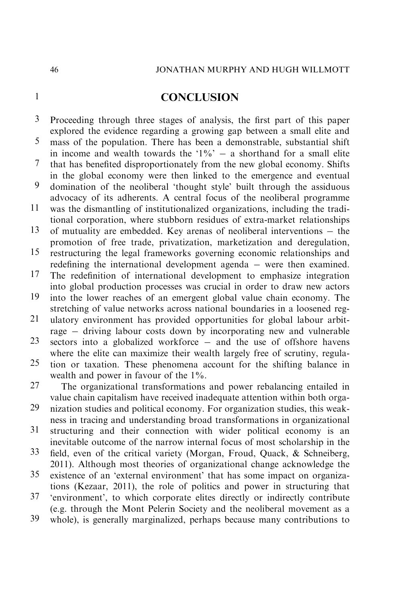#### **CONCLUSION**

Proceeding through three stages of analysis, the first part of this paper explored the evidence regarding a growing gap between a small elite and mass of the population. There has been a demonstrable, substantial shift in income and wealth towards the  $1\%$  - a shorthand for a small elite that has benefited disproportionately from the new global economy. Shifts in the global economy were then linked to the emergence and eventual domination of the neoliberal 'thought style' built through the assiduous advocacy of its adherents. A central focus of the neoliberal programme was the dismantling of institutionalized organizations, including the traditional corporation, where stubborn residues of extra-market relationships of mutuality are embedded. Key arenas of neoliberal interventions  $-$  the promotion of free trade, privatization, marketization and deregulation, restructuring the legal frameworks governing economic relationships and redefining the international development agenda  $-$  were then examined. The redefinition of international development to emphasize integration into global production processes was crucial in order to draw new actors into the lower reaches of an emergent global value chain economy. The stretching of value networks across national boundaries in a loosened reg-3 5 7 9 11 13 15 17 19

- ulatory environment has provided opportunities for global labour arbitrage  $-$  driving labour costs down by incorporating new and vulnerable 21
- sectors into a globalized workforce  $-$  and the use of offshore havens where the elite can maximize their wealth largely free of scrutiny, regula-23
- tion or taxation. These phenomena account for the shifting balance in wealth and power in favour of the 1%. 25
- The organizational transformations and power rebalancing entailed in value chain capitalism have received inadequate attention within both orga-27
- nization studies and political economy. For organization studies, this weakness in tracing and understanding broad transformations in organizational 29
- structuring and their connection with wider political economy is an inevitable outcome of the narrow internal focus of most scholarship in the 31
- field, even of the critical variety (Morgan, Froud, Quack, & Schneiberg, 2011). Although most theories of organizational change acknowledge the 33
- existence of an 'external environment' that has some impact on organizations (Kezaar, 2011), the role of politics and power in structuring that 35
- 'environment', to which corporate elites directly or indirectly contribute (e.g. through the Mont Pelerin Society and the neoliberal movement as a 37
- whole), is generally marginalized, perhaps because many contributions to 39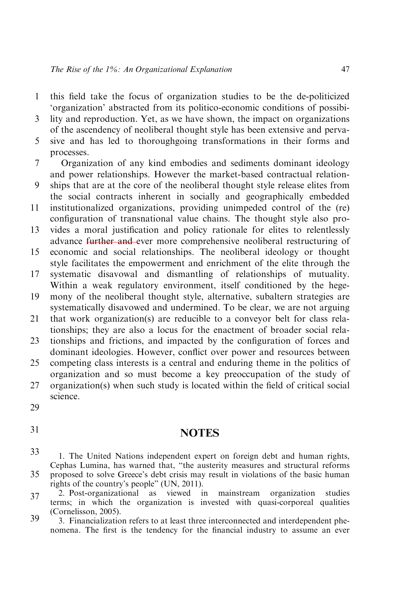- this field take the focus of organization studies to be the de-politicized 'organization' abstracted from its politico-economic conditions of possibi-1
- lity and reproduction. Yet, as we have shown, the impact on organizations of the ascendency of neoliberal thought style has been extensive and perva-3
- sive and has led to thoroughgoing transformations in their forms and processes. 5
- Organization of any kind embodies and sediments dominant ideology and power relationships. However the market-based contractual relation-7
- ships that are at the core of the neoliberal thought style release elites from the social contracts inherent in socially and geographically embedded 9
- institutionalized organizations, providing unimpeded control of the (re) configuration of transnational value chains. The thought style also pro-11
- vides a moral justification and policy rationale for elites to relentlessly advance further and ever more comprehensive neoliberal restructuring of 13
- economic and social relationships. The neoliberal ideology or thought style facilitates the empowerment and enrichment of the elite through the 15
- systematic disavowal and dismantling of relationships of mutuality. Within a weak regulatory environment, itself conditioned by the hege-17
- mony of the neoliberal thought style, alternative, subaltern strategies are systematically disavowed and undermined. To be clear, we are not arguing 19
- that work organization(s) are reducible to a conveyor belt for class relationships; they are also a locus for the enactment of broader social rela-21
- tionships and frictions, and impacted by the configuration of forces and dominant ideologies. However, conflict over power and resources between 23
- competing class interests is a central and enduring theme in the politics of organization and so must become a key preoccupation of the study of 25
- organization(s) when such study is located within the field of critical social science. 27
- 29

#### **NOTES**

- 1. The United Nations independent expert on foreign debt and human rights, Cephas Lumina, has warned that, "the austerity measures and structural reforms proposed to solve Greece's debt crisis may result in violations of the basic human rights of the country's people" (UN, 2011). 33 35
- 2. Post-organizational as viewed in mainstream organization studies terms; in which the organization is invested with quasi-corporeal qualities (Cornelisson, 2005). 37
- 3. Financialization refers to at least three interconnected and interdependent phenomena. The first is the tendency for the financial industry to assume an ever 39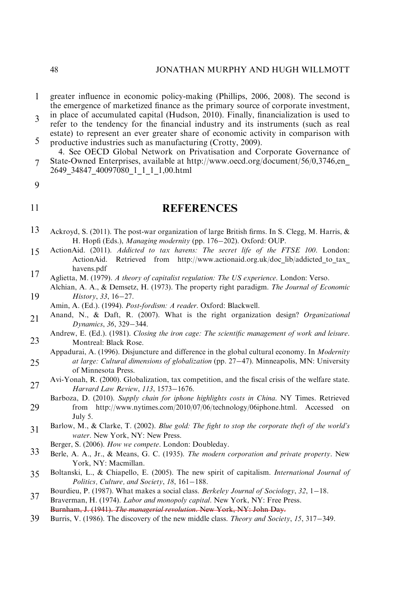- greater influence in economic policy-making (Phillips, 2006, 2008). The second is the emergence of marketized finance as the primary source of corporate investment, 1
- in place of accumulated capital (Hudson, 2010). Finally, financialization is used to refer to the tendency for the financial industry and its instruments (such as real estate) to represent an ever greater share of economic activity in comparison with 3
- productive industries such as manufacturing (Crotty, 2009). 4. See OECD Global Network on Privatisation and Corporate Governance of 5
- State-Owned Enterprises, available at http://www.oecd.org/document/56/0,3746,en\_ 2649\_34847\_40097080\_1\_1\_1\_1,00.html 7

11

#### **REFERENCES**

- Ackroyd, S. (2011). The post-war organization of large British firms. In S. Clegg, M. Harris, & H. Hopfi (Eds.), Managing modernity (pp. 176–202). Oxford: OUP. 13
- ActionAid. (2011). Addicted to tax havens: The secret life of the FTSE 100. London: ActionAid. Retrieved from http://www.actionaid.org.uk/doc\_lib/addicted\_to\_tax\_ havens.pdf 15 17
- Aglietta, M. (1979). A theory of capitalist regulation: The US experience. London: Verso. Alchian, A. A., & Demsetz, H. (1973). The property right paradigm. The Journal of Economic
- History, 33, 16-27. Amin, A. (Ed.). (1994). Post-fordism: A reader. Oxford: Blackwell. 19
- Anand, N., & Daft, R. (2007). What is the right organization design? Organizational 21
- Dynamics, 36, 329-344. Andrew, E. (Ed.). (1981). Closing the iron cage: The scientific management of work and leisure.
- Montreal: Black Rose. 23
- Appadurai, A. (1996). Disjuncture and difference in the global cultural economy. In Modernity at large: Cultural dimensions of globalization (pp.  $27-47$ ). Minneapolis, MN: University of Minnesota Press. 25
- Avi-Yonah, R. (2000). Globalization, tax competition, and the fiscal crisis of the welfare state. Harvard Law Review,  $113$ ,  $1573-1676$ . 27
- Barboza, D. (2010). Supply chain for iphone highlights costs in China. NY Times. Retrieved from http://www.nytimes.com/2010/07/06/technology/06iphone.html. Accessed on July 5. 29
- Barlow, M., & Clarke, T. (2002). Blue gold: The fight to stop the corporate theft of the world's water. New York, NY: New Press. 31
- Berger, S. (2006). How we compete. London: Doubleday.
- Berle, A. A., Jr., & Means, G. C. (1935). The modern corporation and private property. New York, NY: Macmillan. 33
- Boltanski, L., & Chiapello, E. (2005). The new spirit of capitalism. International Journal of Politics, Culture, and Society,  $18$ ,  $161-188$ . 35
- Bourdieu, P. (1987). What makes a social class. Berkeley Journal of Sociology, 32,  $1-18$ . Braverman, H. (1974). Labor and monopoly capital. New York, NY: Free Press. 37
- Burnham, J. (1941). The managerial revolution. New York, NY: John Day.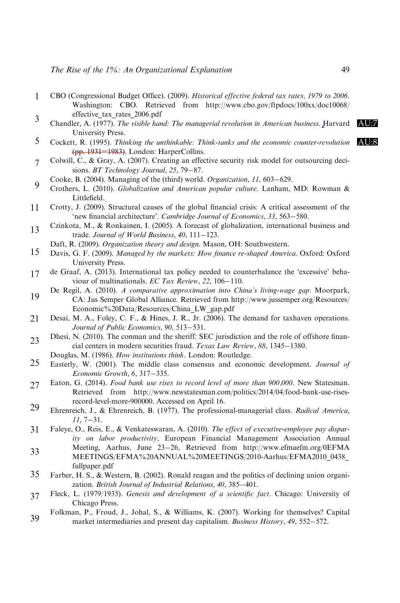- CBO (Congressional Budget Office). (2009). Historical effective federal tax rates, 1979 to 2006. Washington: CBO. Retrieved from http://www.cbo.gov/ftpdocs/100xx/doc10068/ effective\_tax\_rates\_2006.pdf 1 3
- Chandler, A. (1977). The visible hand: The managerial revolution in American business. Harvard AU:7 University Press.
- Cockett, R. (1995). Thinking the unthinkable: Think-tanks and the economic counter-revolution AU:8  $(pp. 1931=1983)$ . London: HarperCollins. 5
- Colwill, C., & Gray, A. (2007). Creating an effective security risk model for outsourcing decisions. BT Technology Journal, 25, 79-87. 7
- Cooke, B. (2004). Managing of the (third) world. Organization,  $11, 603-629$ .
- Crothers, L. (2010). Globalization and American popular culture. Lanham, MD: Rowman & Littlefield. 9
- Crotty, J. (2009). Structural causes of the global financial crisis: A critical assessment of the 'new financial architecture'. Cambridge Journal of Economics, 33, 563-580. 11
- Czinkota, M., & Ronkainen, I. (2005). A forecast of globalization, international business and trade. Journal of World Business,  $40$ ,  $111-123$ . 13
- Daft, R. (2009). Organization theory and design. Mason, OH: Southwestern.
- Davis, G. F. (2009). Managed by the markets: How finance re-shaped America. Oxford: Oxford University Press. 15
- de Graaf, A. (2013). International tax policy needed to counterbalance the 'excessive' behaviour of multinationals. EC Tax Review, 22, 106-110. 17
- De Regil, A. (2010). A comparative approximation into China's living-wage gap. Moorpark, CA: Jus Semper Global Alliance. Retrieved from http://www.jussemper.org/Resources/ Economic%20Data/Resources/China\_LW\_gap.pdf 19
- Desai, M. A., Foley, C. F., & Hines, J. R., Jr. (2006). The demand for taxhaven operations. Journal of Public Economics, 90, 513-531. 21
- Dhesi, N. (2010). The conman and the sheriff: SEC jurisdiction and the role of offshore financial centers in modern securities fraud. Texas Law Review, 88, 1345-1380. 23
- Douglas, M. (1986). How institutions think. London: Routledge.
- Easterly, W. (2001). The middle class consensus and economic development. Journal of Economic Growth, 6, 317-335. 25
- Eaton, G. (2014). Food bank use rises to record level of more than 900,000. New Statesman. Retrieved from http://www.newstatesman.com/politics/2014/04/food-bank-use-risesrecord-level-more-900000. Accessed on April 16. 27
- Ehrenreich, J., & Ehrenreich, B. (1977). The professional-managerial class. Radical America,  $11, 7 - 31.$ 29
- Faleye, O., Reis, E., & Venkateswaran, A. (2010). The effect of executive-employee pay disparity on labor productivity, European Financial Management Association Annual Meeting, Aarhus, June 23-26, Retrieved from http://www.efmaefm.org/0EFMA 31 33
- MEETINGS/EFMA%20ANNUAL%20MEETINGS/2010-Aarhus/EFMA2010\_0438\_ fullpaper.pdf
- Farber, H. S., & Western, B. (2002). Ronald reagan and the politics of declining union organization. British Journal of Industrial Relations, 40, 385-401. 35
- Fleck, L. (1979/1935). Genesis and development of a scientific fact. Chicago: University of Chicago Press. 37
- Folkman, P., Froud, J., Johal, S., & Williams, K. (2007). Working for themselves? Capital market intermediaries and present day capitalism. Business History,  $49,552-572$ . 39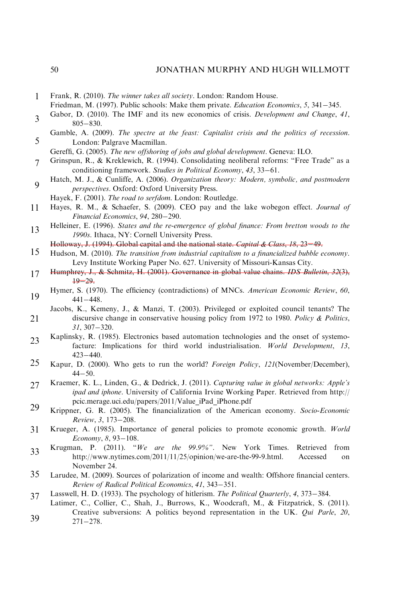#### 50 JONATHAN MURPHY AND HUGH WILLMOTT

- Frank, R. (2010). The winner takes all society. London: Random House. Friedman, M. (1997). Public schools: Make them private. *Education Economics*, 5, 341–345. 1
- Gabor, D. (2010). The IMF and its new economics of crisis. *Development and Change*, 41,  $805 - 830.$ 3
- Gamble, A. (2009). The spectre at the feast: Capitalist crisis and the politics of recession. London: Palgrave Macmillan. 5
- Gereffi, G. (2005). The new offshoring of jobs and global development. Geneva: ILO.
- Grinspun, R., & Kreklewich, R. (1994). Consolidating neoliberal reforms: "Free Trade" as a conditioning framework. Studies in Political Economy, 43, 33-61. 7
- Hatch, M. J., & Cunliffe, A. (2006). Organization theory: Modern, symbolic, and postmodern perspectives. Oxford: Oxford University Press. 9
- Hayek, F. (2001). The road to serfdom. London: Routledge.
- Hayes, R. M., & Schaefer, S. (2009). CEO pay and the lake wobegon effect. Journal of Financial Economics, 94, 280-290. 11
- Helleiner, E. (1996). States and the re-emergence of global finance: From bretton woods to the 1990s. Ithaca, NY: Cornell University Press. 13

Holloway, J. (1994). Global capital and the national state. Capital & Class, 18, 23=49.

- Hudson, M. (2010). The transition from industrial capitalism to a financialized bubble economy. Levy Institute Working Paper No. 627. University of Missouri-Kansas City. 15
- Humphrey, J., & Schmitz, H. (2001). Governance in global value chains. IDS Bulletin, 32(3),  $19=29$ . 17
- Hymer, S. (1970). The efficiency (contradictions) of MNCs. American Economic Review, 60,  $441 - 448.$ 19
- Jacobs, K., Kemeny, J., & Manzi, T. (2003). Privileged or exploited council tenants? The discursive change in conservative housing policy from 1972 to 1980. Policy  $\&$  Politics,  $31, 307 - 320.$ 21
- Kaplinsky, R. (1985). Electronics based automation technologies and the onset of systemofacture: Implications for third world industrialisation. World Development, 13,  $423 - 440.$ 23
- Kapur, D. (2000). Who gets to run the world? Foreign Policy, 121(November/December),  $44 - 50.$ 25
- Kraemer, K. L., Linden, G., & Dedrick, J. (2011). Capturing value in global networks: Apple's ipad and iphone. University of California Irvine Working Paper. Retrieved from http:// pcic.merage.uci.edu/papers/2011/Value\_iPad\_iPhone.pdf 27
- Krippner, G. R. (2005). The financialization of the American economy. Socio-Economic Review, 3, 173-208. 29
- Krueger, A. (1985). Importance of general policies to promote economic growth. World  $Economy, 8, 93-108.$ 31
- Krugman, P. (2011). "We are the  $99.9\%$ ". New York Times. Retrieved from http://www.nytimes.com/2011/11/25/opinion/we-are-the-99-9.html. Accessed on November 24. 33
- Larudee, M. (2009). Sources of polarization of income and wealth: Offshore financial centers. Review of Radical Political Economics, 41, 343-351. 35
- Lasswell, H. D. (1933). The psychology of hitlerism. The Political Quarterly,  $4$ , 373–384. 37
- Latimer, C., Collier, C., Shah, J., Burrows, K., Woodcraft, M., & Fitzpatrick, S. (2011). Creative subversions: A politics beyond representation in the UK. Qui Parle, 20,  $271 - 278.$ 39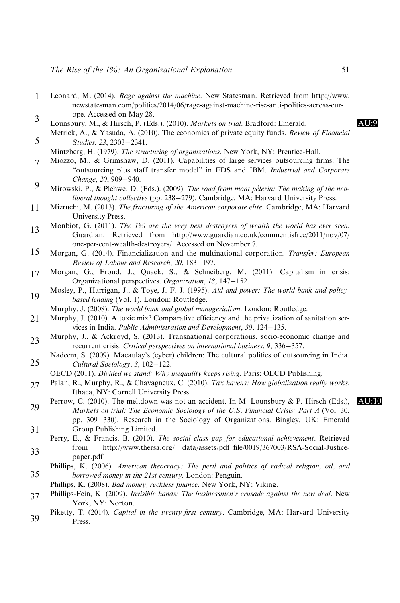- Leonard, M. (2014). Rage against the machine. New Statesman. Retrieved from http://www. newstatesman.com/politics/2014/06/rage-against-machine-rise-anti-politics-across-europe. Accessed on May 28. 1 3
- Lounsbury, M., & Hirsch, P. (Eds.). (2010). *Markets on trial*. Bradford: Emerald. **AU:9**
- Metrick, A., & Yasuda, A. (2010). The economics of private equity funds. Review of Financial Studies, 23, 2303-2341. 5
- Mintzberg, H. (1979). The structuring of organizations. New York, NY: Prentice-Hall.
- Miozzo, M., & Grimshaw, D. (2011). Capabilities of large services outsourcing firms: The "outsourcing plus staff transfer model" in EDS and IBM. Industrial and Corporate Change, 20, 909-940. 7
- Mirowski, P., & Plehwe, D. (Eds.). (2009). The road from mont pèlerin: The making of the neoliberal thought collective (pp. 238=279). Cambridge, MA: Harvard University Press. 9
- Mizruchi, M. (2013). The fracturing of the American corporate elite. Cambridge, MA: Harvard University Press. 11
- Monbiot, G. (2011). The 1% are the very best destroyers of wealth the world has ever seen. Guardian. Retrieved from http://www.guardian.co.uk/commentisfree/2011/nov/07/ one-per-cent-wealth-destroyers/. Accessed on November 7. 13
- Morgan, G. (2014). Financialization and the multinational corporation. *Transfer: European* Review of Labour and Research, 20, 183-197. 15
- Morgan, G., Froud, J., Quack, S., & Schneiberg, M. (2011). Capitalism in crisis: Organizational perspectives. Organization, 18, 147-152. 17
- Mosley, P., Harrigan, J., & Toye, J. F. J. (1995). Aid and power: The world bank and policybased lending (Vol. 1). London: Routledge. 19
- Murphy, J. (2008). The world bank and global managerialism. London: Routledge.
- Murphy, J. (2010). A toxic mix? Comparative efficiency and the privatization of sanitation services in India. Public Administration and Development,  $30$ ,  $124-135$ . 21
- Murphy, J., & Ackroyd, S. (2013). Transnational corporations, socio-economic change and recurrent crisis. Critical perspectives on international business, 9, 336-357. 23
- Nadeem, S. (2009). Macaulay's (cyber) children: The cultural politics of outsourcing in India. Cultural Sociology, 3,  $102-122$ . 25
- OECD (2011). Divided we stand: Why inequality keeps rising. Paris: OECD Publishing.
- Palan, R., Murphy, R., & Chavagneux, C. (2010). Tax havens: How globalization really works. Ithaca, NY: Cornell University Press. 27
- Perrow, C. (2010). The meltdown was not an accident. In M. Lounsbury & P. Hirsch (Eds.), **AU:10** Markets on trial: The Economic Sociology of the U.S. Financial Crisis: Part A (Vol. 30, pp. 309-330). Research in the Sociology of Organizations. Bingley, UK: Emerald Group Publishing Limited. 29 31
- Perry, E., & Francis, B. (2010). The social class gap for educational achievement. Retrieved from http://www.thersa.org/ data/assets/pdf file/0019/367003/RSA-Social-Justicepaper.pdf 33
- Phillips, K. (2006). American theocracy: The peril and politics of radical religion, oil, and borrowed money in the 21st century. London: Penguin. 35
- Phillips, K. (2008). Bad money, reckless finance. New York, NY: Viking.
- Phillips-Fein, K. (2009). Invisible hands: The businessmen's crusade against the new deal. New York, NY: Norton. 37
- Piketty, T. (2014). Capital in the twenty-first century. Cambridge, MA: Harvard University Press. 39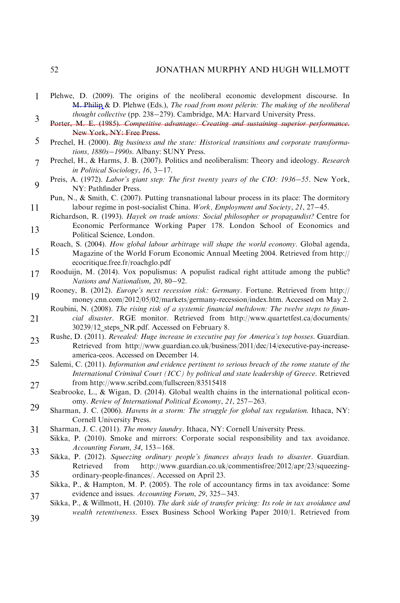- Plehwe, D. (2009). The origins of the neoliberal economic development discourse. In **M. Philip & D. Plehwe (Eds.), The road from mont peterin: The making of the neoliberal** thought collective (pp. 238–279). Cambridge, MA: Harvard University Press. 1 3
- Porter, M. E. (1985). Competitive advantage: Creating and sustaining superior performance. New York, NY: Free Press.
- Prechel, H. (2000). Big business and the state: Historical transitions and corporate transformations,  $1880s-1990s$ . Albany: SUNY Press. 5
- Prechel, H., & Harms, J. B. (2007). Politics and neoliberalism: Theory and ideology. Research in Political Sociology,  $16, 3-17$ . 7
- Preis, A. (1972). Labor's giant step: The first twenty years of the CIO: 1936-55. New York, NY: Pathfinder Press. 9
- Pun, N., & Smith, C. (2007). Putting transnational labour process in its place: The dormitory labour regime in post-socialist China. Work, Employment and Society, 21, 27-45. 11
- Richardson, R. (1993). Hayek on trade unions: Social philosopher or propagandist? Centre for Economic Performance Working Paper 178. London School of Economics and Political Science, London. 13
- Roach, S. (2004). How global labour arbitrage will shape the world economy. Global agenda, Magazine of the World Forum Economic Annual Meeting 2004. Retrieved from http:// ecocritique.free.fr/roachglo.pdf 15
- Rooduijn, M. (2014). Vox populismus: A populist radical right attitude among the public? Nations and Nationalism, 20, 80-92. 17
- Rooney, B. (2012). Europe's next recession risk: Germany. Fortune. Retrieved from http:// money.cnn.com/2012/05/02/markets/germany-recession/index.htm. Accessed on May 2. 19
- Roubini, N. (2008). The rising risk of a systemic financial meltdown: The twelve steps to financial disaster. RGE monitor. Retrieved from http://www.quartetfest.ca/documents/ 30239/12\_steps\_NR.pdf. Accessed on February 8. 21
- Rushe, D. (2011). Revealed: Huge increase in executive pay for America's top bosses. Guardian. Retrieved from http://www.guardian.co.uk/business/2011/dec/14/executive-pay-increaseamerica-ceos. Accessed on December 14. 23
- Salemi, C. (2011). Information and evidence pertinent to serious breach of the rome statute of the International Criminal Court (ICC) by political and state leadership of Greece. Retrieved from http://www.scribd.com/fullscreen/83515418 25 27
- Seabrooke, L., & Wigan, D. (2014). Global wealth chains in the international political economy. Review of International Political Economy, 21, 257-263.
- Sharman, J. C. (2006). Havens in a storm: The struggle for global tax regulation. Ithaca, NY: Cornell University Press. 29
- Sharman, J. C. (2011). The money laundry. Ithaca, NY: Cornell University Press. 31
- Sikka, P. (2010). Smoke and mirrors: Corporate social responsibility and tax avoidance.  $Accounting Forum, 34, 153-168.$ 33
- Sikka, P. (2012). Squeezing ordinary people's finances always leads to disaster. Guardian. Retrieved from http://www.guardian.co.uk/commentisfree/2012/apr/23/squeezingordinary-people-finances/. Accessed on April 23. 35
- Sikka, P., & Hampton, M. P. (2005). The role of accountancy firms in tax avoidance: Some evidence and issues. Accounting Forum, 29, 325–343. 37
- Sikka, P., & Willmott, H. (2010). The dark side of transfer pricing: Its role in tax avoidance and wealth retentiveness. Essex Business School Working Paper 2010/1. Retrieved from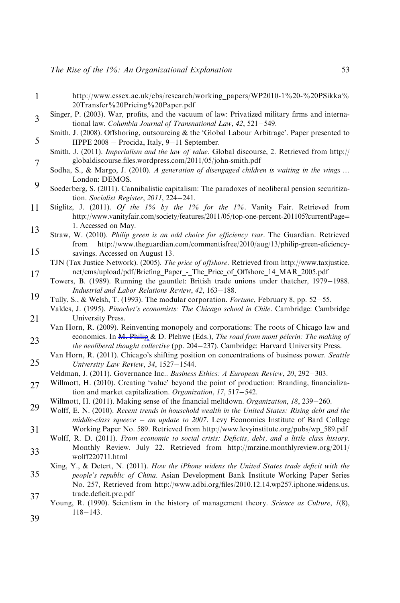| 1  | http://www.essex.ac.uk/ebs/research/working_papers/WP2010-1%20-%20PSikka%<br>20Transfer%20Pricing%20Paper.pdf                                                                                                                                                                             |
|----|-------------------------------------------------------------------------------------------------------------------------------------------------------------------------------------------------------------------------------------------------------------------------------------------|
| 3  | Singer, P. (2003). War, profits, and the vacuum of law: Privatized military firms and interna-<br>tional law. Columbia Journal of Transnational Law, 42, 521-549.                                                                                                                         |
| 5  | Smith, J. (2008). Offshoring, outsourcing & the 'Global Labour Arbitrage'. Paper presented to<br>IIPPE 2008 - Procida, Italy, 9-11 September.                                                                                                                                             |
|    | Smith, J. (2011). Imperialism and the law of value. Global discourse, 2. Retrieved from http://<br>globaldiscourse.files.wordpress.com/2011/05/john-smith.pdf                                                                                                                             |
| 7  | Sodha, S., & Margo, J. (2010). A generation of disengaged children is waiting in the wings<br>London: DEMOS.                                                                                                                                                                              |
| 9  | Soederberg, S. (2011). Cannibalistic capitalism: The paradoxes of neoliberal pension securitiza-<br>tion. Socialist Register, 2011, 224-241.                                                                                                                                              |
| 11 | Stiglitz, J. (2011). Of the 1% by the 1% for the 1%. Vanity Fair. Retrieved from<br>http://www.vanityfair.com/society/features/2011/05/top-one-percent-201105?currentPage=                                                                                                                |
| 13 | 1. Accessed on May.<br>Straw, W. (2010). Philip green is an odd choice for efficiency tsar. The Guardian. Retrieved<br>http://www.theguardian.com/commentisfree/2010/aug/13/philip-green-eficiency-                                                                                       |
| 15 | from<br>savings. Accessed on August 13.<br>TJN (Tax Justice Network). (2005). The price of offshore. Retrieved from http://www.taxjustice.                                                                                                                                                |
| 17 | net/cms/upload/pdf/Briefing_Paper_-_The_Price_of_Offshore_14_MAR_2005.pdf<br>Towers, B. (1989). Running the gauntlet: British trade unions under thatcher, 1979-1988.                                                                                                                     |
| 19 | Industrial and Labor Relations Review, 42, 163-188.<br>Tully, S., & Welsh, T. (1993). The modular corporation. Fortune, February 8, pp. 52–55.<br>Valdes, J. (1995). Pinochet's economists: The Chicago school in Chile. Cambridge: Cambridge                                             |
| 21 | University Press.<br>Van Horn, R. (2009). Reinventing monopoly and corporations: The roots of Chicago law and                                                                                                                                                                             |
| 23 | economics. In M. Philip & D. Plehwe (Eds.), The road from mont pelerin: The making of<br>the neoliberal thought collective (pp. 204-237). Cambridge: Harvard University Press.                                                                                                            |
| 25 | Van Horn, R. (2011). Chicago's shifting position on concentrations of business power. Seattle<br>University Law Review, 34, 1527-1544.                                                                                                                                                    |
| 27 | Veldman, J. (2011). Governance Inc Business Ethics: A European Review, 20, 292-303.<br>Willmott, H. (2010). Creating 'value' beyond the point of production: Branding, financializa-<br>tion and market capitalization. Organization, 17, 517-542.                                        |
| 29 | Willmott, H. (2011). Making sense of the financial meltdown. <i>Organization</i> , 18, 239–260.<br>Wolff, E. N. (2010). Recent trends in household wealth in the United States: Rising debt and the<br>middle-class squeeze - an update to 2007. Levy Economics Institute of Bard College |
| 31 | Working Paper No. 589. Retrieved from http://www.levyinstitute.org/pubs/wp_589.pdf<br>Wolff, R. D. (2011). From economic to social crisis: Deficits, debt, and a little class history.                                                                                                    |
| 33 | Monthly Review. July 22. Retrieved from http://mrzine.monthlyreview.org/2011/<br>wolff220711.html                                                                                                                                                                                         |
| 35 | Xing, Y., & Detert, N. (2011). How the iPhone widens the United States trade deficit with the<br>people's republic of China. Asian Development Bank Institute Working Paper Series<br>No. 257, Retrieved from http://www.adbi.org/files/2010.12.14.wp257.iphone.widens.us.                |
| 37 | trade.deficit.prc.pdf<br>Young, R. (1990). Scientism in the history of management theory. Science as Culture, 1(8),                                                                                                                                                                       |
| 39 | $118 - 143.$                                                                                                                                                                                                                                                                              |